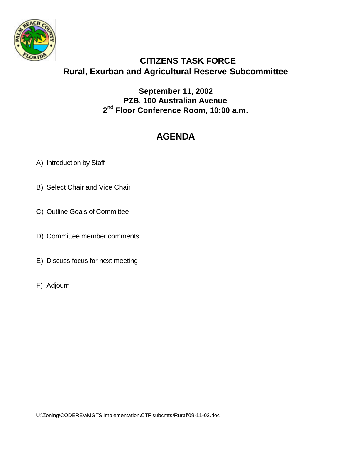

## **CITIZENS TASK FORCE Rural, Exurban and Agricultural Reserve Subcommittee**

**September 11, 2002 PZB, 100 Australian Avenue 2 nd Floor Conference Room, 10:00 a.m.**

## **AGENDA**

- A) Introduction by Staff
- B) Select Chair and Vice Chair
- C) Outline Goals of Committee
- D) Committee member comments
- E) Discuss focus for next meeting
- F) Adjourn